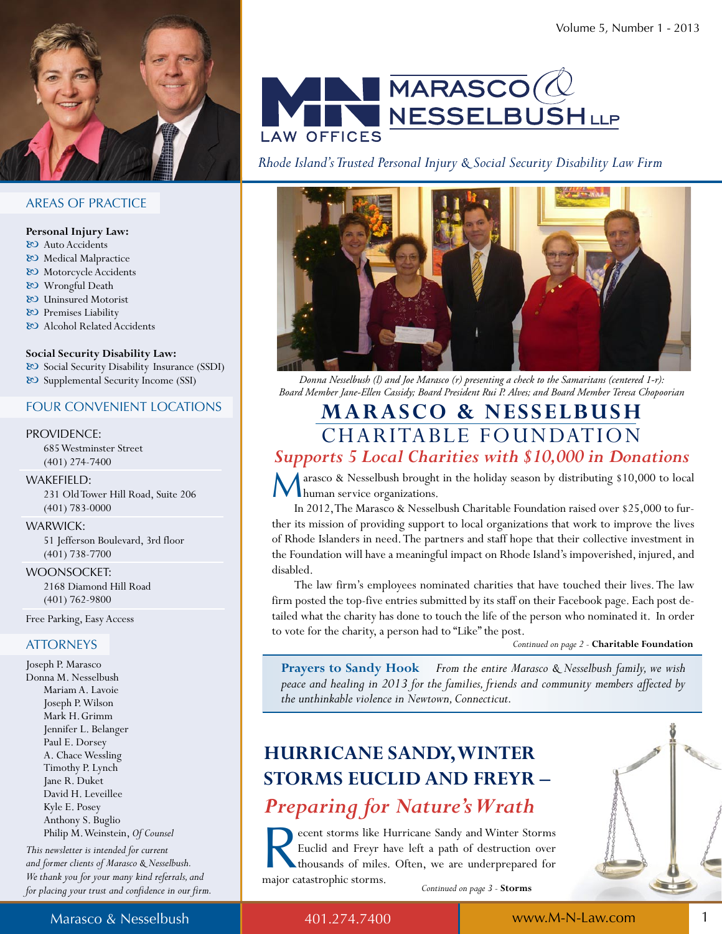

### **AREAS OF PRACTICE**

### Personal Injury Law:

- & Auto Accidents
- & Medical Malpractice
- & Motorcycle Accidents
- & Wrongful Death
- & Uninsured Motorist
- & Premises Liability
- & Alcohol Related Accidents

#### **Social Security Disability Law:**

& Social Security Disability Insurance (SSDI) & Supplemental Security Income (SSI)

### **FOUR CONVENIENT LOCATIONS**

### PROVIDENCE:

685 Westminster Street  $(401)$  274-7400

#### WAKEFIELD:

231 Old Tower Hill Road, Suite 206  $(401)$  783-0000

#### **WARWICK:**

51 Jefferson Boulevard, 3rd floor  $(401)$  738-7700

#### **WOONSOCKET:**

2168 Diamond Hill Road  $(401)$  762-9800

Free Parking, Easy Access

### **ATTORNEYS**

Joseph P. Marasco Donna M. Nesselbush Mariam A. Lavoie Joseph P. Wilson Mark H. Grimm Jennifer L. Belanger Paul E. Dorsey A. Chace Wessling Timothy P. Lynch Jane R. Duket David H. Leveillee Kyle E. Posey Anthony S. Buglio Philip M. Weinstein, Of Counsel

This newsletter is intended for current and former clients of Marasco & Nesselbush. We thank you for your many kind referrals, and for placing your trust and confidence in our firm.

Marasco & Nesselbush





Donna Nesselbush (l) and Joe Marasco (r) presenting a check to the Samaritans (centered 1-r): Board Member Jane-Ellen Cassidy; Board President Rui P. Alves; and Board Member Teresa Chopoorian

## **MARASCO & NESSELBUSH** CHARITABLE FOUNDATION

## **Supports 5 Local Charities with \$10,000 in Donations**

arasco & Nesselbush brought in the holiday season by distributing \$10,000 to local human service organizations.

In 2012, The Marasco & Nesselbush Charitable Foundation raised over \$25,000 to further its mission of providing support to local organizations that work to improve the lives of Rhode Islanders in need. The partners and staff hope that their collective investment in the Foundation will have a meaningful impact on Rhode Island's impoverished, injured, and disabled.

The law firm's employees nominated charities that have touched their lives. The law firm posted the top-five entries submitted by its staff on their Facebook page. Each post detailed what the charity has done to touch the life of the person who nominated it. In order to vote for the charity, a person had to "Like" the post.

Continued on page 2 - Charitable Foundation

**Prayers to Sandy Hook** From the entire Marasco & Nesselbush family, we wish peace and healing in 2013 for the families, friends and community members affected by the unthinkable violence in Newtown, Connecticut.

## **HURRICANE SANDY, WINTER STORMS EUCLID AND FREYR -Preparing for Nature's Wrath**

ecent storms like Hurricane Sandy and Winter Storms Euclid and Freyr have left a path of destruction over thousands of miles. Often, we are underprepared for major catastrophic storms. Continued on page 3 - Storms

401.274.7400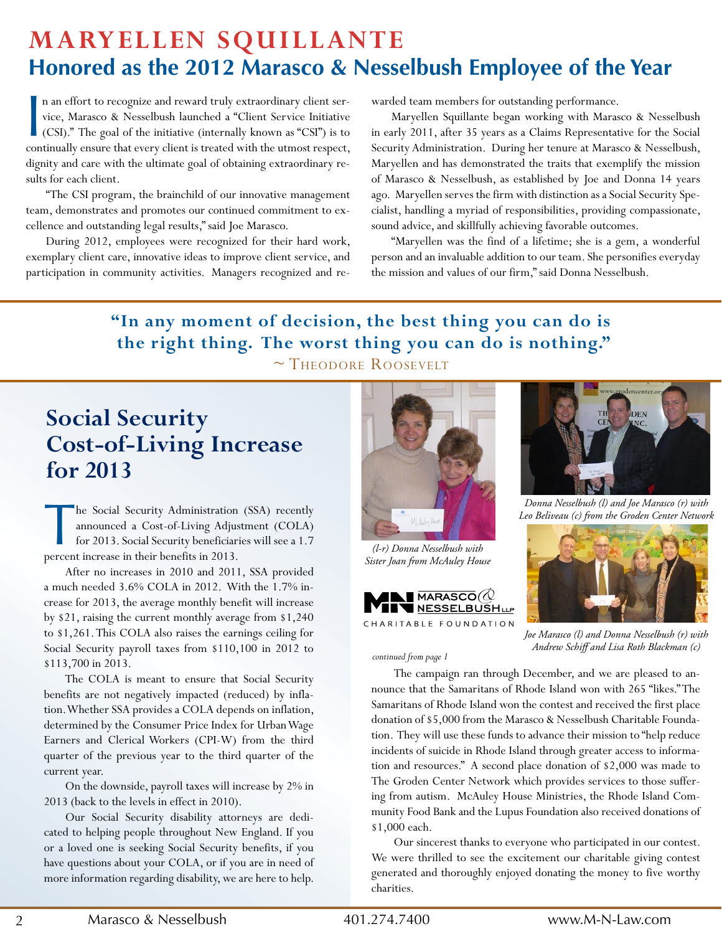# **maryeLLen SquILLante Honored as the 2012 Marasco & Nesselbush Employee of the Year**

n an effort to recognize and reward truly extraordinary client service, Marasco & Nesselbush launched a "Client Service Initiative (CSI)." The goal of the initiative (internally known as "CSI") is to continually ensure tha n an effort to recognize and reward truly extraordinary client service, Marasco & Nesselbush launched a "Client Service Initiative (CSI)." The goal of the initiative (internally known as "CSI") is to dignity and care with the ultimate goal of obtaining extraordinary results for each client.

"The CSI program, the brainchild of our innovative management team, demonstrates and promotes our continued commitment to excellence and outstanding legal results," said Joe Marasco.

During 2012, employees were recognized for their hard work, exemplary client care, innovative ideas to improve client service, and participation in community activities. Managers recognized and rewarded team members for outstanding performance.

Maryellen Squillante began working with Marasco & Nesselbush in early 2011, after 35 years as a Claims Representative for the Social Security Administration. During her tenure at Marasco & Nesselbush, Maryellen and has demonstrated the traits that exemplify the mission of Marasco & Nesselbush, as established by Joe and Donna 14 years ago. Maryellen serves the firm with distinction as a Social Security Specialist, handling a myriad of responsibilities, providing compassionate, sound advice, and skillfully achieving favorable outcomes.

"Maryellen was the find of a lifetime; she is a gem, a wonderful person and an invaluable addition to our team. She personifies everyday the mission and values of our firm," said Donna Nesselbush.

## **"In any moment of decision, the best thing you can do is** the right thing. The worst thing you can do is nothing."  $\sim$  Theodore ROOSEVELT

# **Social Security Cost-of-Living Increase for 2013**

he Social Security Administration<br>
announced a Cost-of-Living Adjustor<br>
for 2013. Social Security beneficiar<br>
percent increase in their benefits in 2013. 'he Social Security Administration (SSA) recently announced a Cost-of-Living Adjustment (COLA) for 2013. Social Security beneficiaries will see a 1.7

After no increases in 2010 and 2011, SSA provided a much needed  $3.6\%$  COLA in 2012. With the 1.7% increase for 2013, the average monthly benefit will increase by  $$21$ , raising the current monthly average from  $$1,240$ to \$1,261. This COLA also raises the earnings ceiling for Social Security payroll taxes from \$110,100 in 2012 to \$113,700 in 2013.

The COLA is meant to ensure that Social Security benefits are not negatively impacted (reduced) by inflation. Whether SSA provides a COLA depends on inflation, determined by the Consumer Price Index for Urban Wage Earners and Clerical Workers (CPI-W) from the third quarter of the previous year to the third quarter of the current year.

On the downside, payroll taxes will increase by  $2\%$  in 2013 (back to the levels in effect in 2010).

Our Social Security disability attorneys are dedicated to helping people throughout New England. If you or a loved one is seeking Social Security benefits, if you have questions about your COLA, or if you are in need of more information regarding disability, we are here to help.



*(l-r) Donna Nesselbush with Sister Joan from McAuley House*

*continued from page 1* 





*Donna Nesselbush (l) and Joe Marasco (r) with Leo Beliveau (c) from the Groden Center Network*



*Joe Marasco (l) and Donna Nesselbush (r) with Andrew Schiff and Lisa Roth Blackman (c)*

The campaign ran through December, and we are pleased to announce that the Samaritans of Rhode Island won with 265 "likes." The Samaritans of Rhode Island won the contest and received the first place donation of \$5,000 from the Marasco & Nesselbush Charitable Foundation. They will use these funds to advance their mission to "help reduce incidents of suicide in Rhode Island through greater access to information and resources." A second place donation of \$2,000 was made to The Groden Center Network which provides services to those suffering from autism. McAuley House Ministries, the Rhode Island Community Food Bank and the Lupus Foundation also received donations of \$1,000 each.

Our sincerest thanks to everyone who participated in our contest. We were thrilled to see the excitement our charitable giving contest generated and thoroughly enjoyed donating the money to five worthy charities.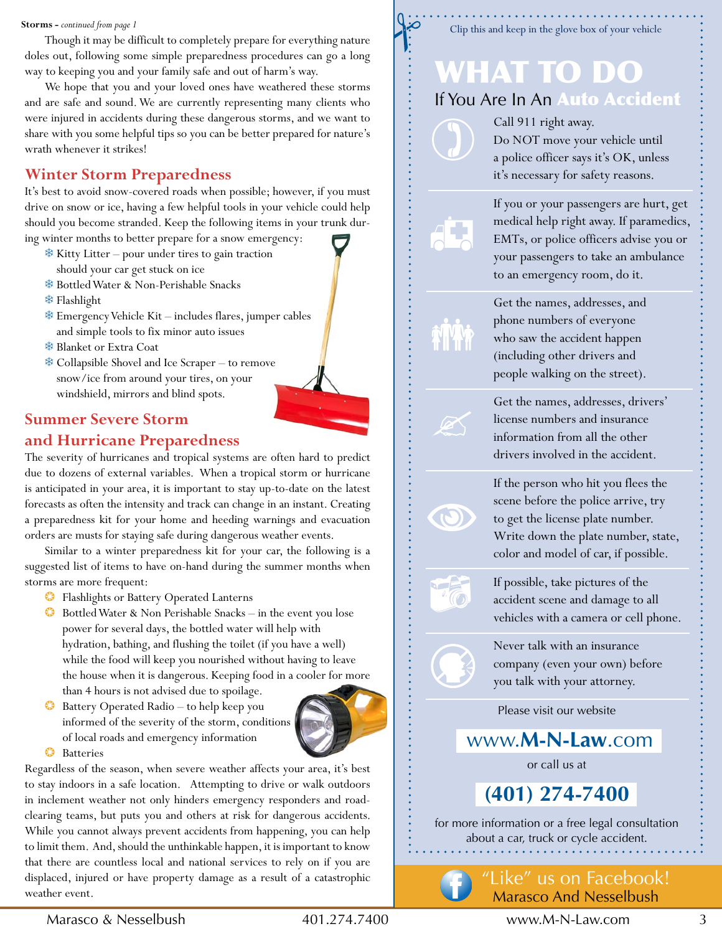#### **Storms -** *continued from page 1*

Though it may be difficult to completely prepare for everything nature doles out, following some simple preparedness procedures can go a long way to keeping you and your family safe and out of harm's way.

We hope that you and your loved ones have weathered these storms and are safe and sound. We are currently representing many clients who were injured in accidents during these dangerous storms, and we want to share with you some helpful tips so you can be better prepared for nature's wrath whenever it strikes!

## **Winter Storm Preparedness**

It's best to avoid snow-covered roads when possible; however, if you must drive on snow or ice, having a few helpful tools in your vehicle could help should you become stranded. Keep the following items in your trunk during winter months to better prepare for a snow emergency:

- ❄ Kitty Litter – pour under tires to gain traction
	- should your car get stuck on ice
- ❄ Bottled Water & Non-Perishable Snacks
- ❄ Flashlight
- ❄ Emergency vehicle Kit – includes flares, jumper cables and simple tools to fix minor auto issues
- ❄ Blanket or Extra Coat
- $*$  Collapsible Shovel and Ice Scraper to remove snow/ice from around your tires, on your windshield, mirrors and blind spots.

## **Summer Severe Storm**

### **and Hurricane Preparedness**

The severity of hurricanes and tropical systems are often hard to predict due to dozens of external variables. When a tropical storm or hurricane is anticipated in your area, it is important to stay up-to-date on the latest forecasts as often the intensity and track can change in an instant. Creating a preparedness kit for your home and heeding warnings and evacuation orders are musts for staying safe during dangerous weather events.

Similar to a winter preparedness kit for your car, the following is a suggested list of items to have on-hand during the summer months when storms are more frequent:

- ❂ Flashlights or Battery Operated Lanterns
- $\bullet$  Bottled Water & Non Perishable Snacks in the event you lose power for several days, the bottled water will help with hydration, bathing, and flushing the toilet (if you have a well) while the food will keep you nourished without having to leave the house when it is dangerous. Keeping food in a cooler for more than 4 hours is not advised due to spoilage.
- <sup>3</sup> Battery Operated Radio to help keep you informed of the severity of the storm, conditions of local roads and emergency information



❂ Batteries 

Regardless of the season, when severe weather affects your area, it's best to stay indoors in a safe location. Attempting to drive or walk outdoors in inclement weather not only hinders emergency responders and roadclearing teams, but puts you and others at risk for dangerous accidents. While you cannot always prevent accidents from happening, you can help to limit them. And, should the unthinkable happen, it is important to know that there are countless local and national services to rely on if you are displaced, injured or have property damage as a result of a catastrophic weather event.

Clip this and keep in the glove box of your vehicle

# What to Do If You Are In An Auto Accident

Call 911 right away. Do NOT move your vehicle until a police officer says it's OK, unless it's necessary for safety reasons.

 $\mathscr{D}$ 

 $\odot$ 

 $\cdot \odot$ 

If you or your passengers are hurt, get medical help right away. If paramedics, EMTs, or police officers advise you or your passengers to take an ambulance to an emergency room, do it.

Get the names, addresses, and phone numbers of everyone who saw the accident happen (including other drivers and people walking on the street).

Get the names, addresses, drivers' license numbers and insurance information from all the other drivers involved in the accident.

If the person who hit you flees the scene before the police arrive, try to get the license plate number. Write down the plate number, state, color and model of car, if possible.

If possible, take pictures of the accident scene and damage to all vehicles with a camera or cell phone.

Never talk with an insurance company (even your own) before you talk with your attorney.

Please visit our website

www.**M-N-law**.com

or call us at

**(401) 274-7400** 

for more information or a free legal consultation about a car, truck or cycle accident.